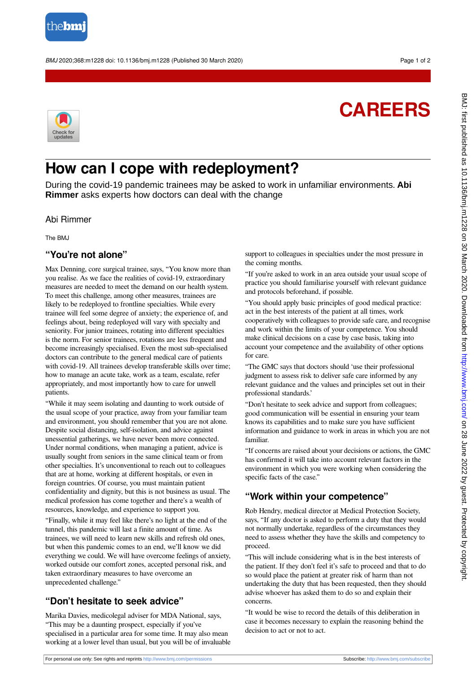

BMJ 2020;368:m1228 doi: 10.1136/bmj.m1228 (Published 30 March 2020) Page 1 of 2

# **CAREERS**



## **How can I cope with redeployment?**

During the covid-19 pandemic trainees may be asked to work in unfamiliar environments. **Abi Rimmer** asks experts how doctors can deal with the change

Abi Rimmer

The BMJ

#### **"You're not alone"**

Max Denning, core surgical trainee, says, "You know more than you realise. As we face the realities of covid-19, extraordinary measures are needed to meet the demand on our health system. To meet this challenge, among other measures, trainees are likely to be redeployed to frontline specialties. While every trainee will feel some degree of anxiety; the experience of, and feelings about, being redeployed will vary with specialty and seniority. For junior trainees, rotating into different specialties is the norm. For senior trainees, rotations are less frequent and become increasingly specialised. Even the most sub-specialised doctors can contribute to the general medical care of patients with covid-19. All trainees develop transferable skills over time; how to manage an acute take, work as a team, escalate, refer appropriately, and most importantly how to care for unwell patients.

"While it may seem isolating and daunting to work outside of the usual scope of your practice, away from your familiar team and environment, you should remember that you are not alone. Despite social distancing, self-isolation, and advice against unessential gatherings, we have never been more connected. Under normal conditions, when managing a patient, advice is usually sought from seniors in the same clinical team or from other specialties. It's unconventional to reach out to colleagues that are at home, working at different hospitals, or even in foreign countries. Of course, you must maintain patient confidentiality and dignity, but this is not business as usual. The medical profession has come together and there's a wealth of resources, knowledge, and experience to support you.

"Finally, while it may feel like there's no light at the end of the tunnel, this pandemic will last a finite amount of time. As trainees, we will need to learn new skills and refresh old ones, but when this pandemic comes to an end, we'll know we did everything we could. We will have overcome feelings of anxiety, worked outside our comfort zones, accepted personal risk, and taken extraordinary measures to have overcome an unprecedented challenge."

#### **"Don't hesitate to seek advice"**

Marika Davies, medicolegal adviser for MDA National, says, "This may be a daunting prospect, especially if you've specialised in a particular area for some time. It may also mean working at a lower level than usual, but you will be of invaluable support to colleagues in specialties under the most pressure in the coming months.

"If you're asked to work in an area outside your usual scope of practice you should familiarise yourself with relevant guidance and protocols beforehand, if possible.

"You should apply basic principles of good medical practice: act in the best interests of the patient at all times, work cooperatively with colleagues to provide safe care, and recognise and work within the limits of your competence. You should make clinical decisions on a case by case basis, taking into account your competence and the availability of other options for care.

"The GMC says that doctors should 'use their professional judgment to assess risk to deliver safe care informed by any relevant guidance and the values and principles set out in their professional standards.'

"Don't hesitate to seek advice and support from colleagues; good communication will be essential in ensuring your team knows its capabilities and to make sure you have sufficient information and guidance to work in areas in which you are not familiar.

"If concerns are raised about your decisions or actions, the GMC has confirmed it will take into account relevant factors in the environment in which you were working when considering the specific facts of the case."

### **"Work within your competence"**

Rob Hendry, medical director at Medical Protection Society, says, "If any doctor is asked to perform a duty that they would not normally undertake, regardless of the circumstances they need to assess whether they have the skills and competency to proceed.

"This will include considering what is in the best interests of the patient. If they don't feel it's safe to proceed and that to do so would place the patient at greater risk of harm than not undertaking the duty that has been requested, then they should advise whoever has asked them to do so and explain their concerns.

"It would be wise to record the details of this deliberation in case it becomes necessary to explain the reasoning behind the decision to act or not to act.